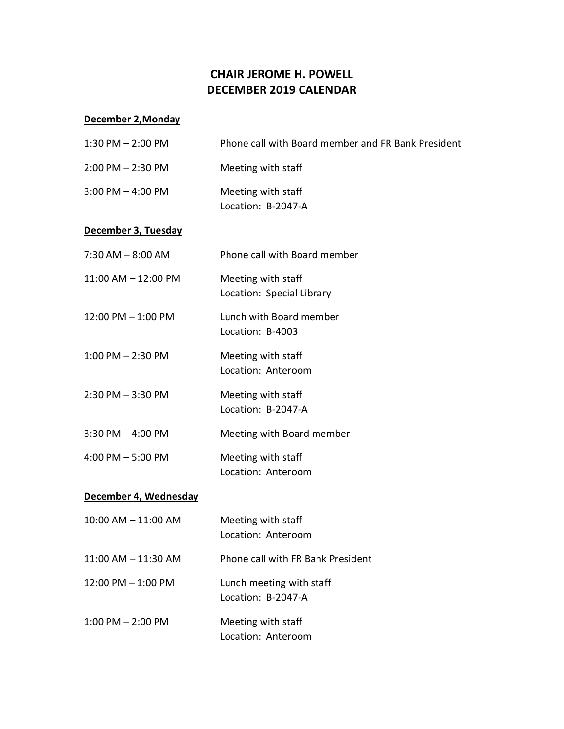## **CHAIR JEROME H. POWELL DECEMBER 2019 CALENDAR**

## **December 2,Monday**

| $1:30$ PM $- 2:00$ PM | Phone call with Board member and FR Bank President |
|-----------------------|----------------------------------------------------|
| $2:00$ PM $- 2:30$ PM | Meeting with staff                                 |
| $3:00$ PM $-$ 4:00 PM | Meeting with staff<br>Location: B-2047-A           |
| December 3, Tuesday   |                                                    |
| $7:30$ AM $-8:00$ AM  | Phone call with Board member                       |
| 11:00 AM - 12:00 PM   | Meeting with staff<br>Location: Special Library    |
| 12:00 PM - 1:00 PM    | Lunch with Board member<br>Location: B-4003        |
| $1:00$ PM $- 2:30$ PM | Meeting with staff<br>Location: Anteroom           |
| $2:30$ PM $-3:30$ PM  | Meeting with staff<br>Location: B-2047-A           |
| $3:30$ PM $-$ 4:00 PM | Meeting with Board member                          |
| $4:00$ PM $-5:00$ PM  | Meeting with staff<br>Location: Anteroom           |
| December 4, Wednesday |                                                    |
| 10:00 AM - 11:00 AM   | Meeting with staff<br>Location: Anteroom           |
| 11:00 AM - 11:30 AM   | Phone call with FR Bank President                  |
| 12:00 PM - 1:00 PM    | Lunch meeting with staff<br>Location: B-2047-A     |
| $1:00$ PM $- 2:00$ PM | Meeting with staff<br>Location: Anteroom           |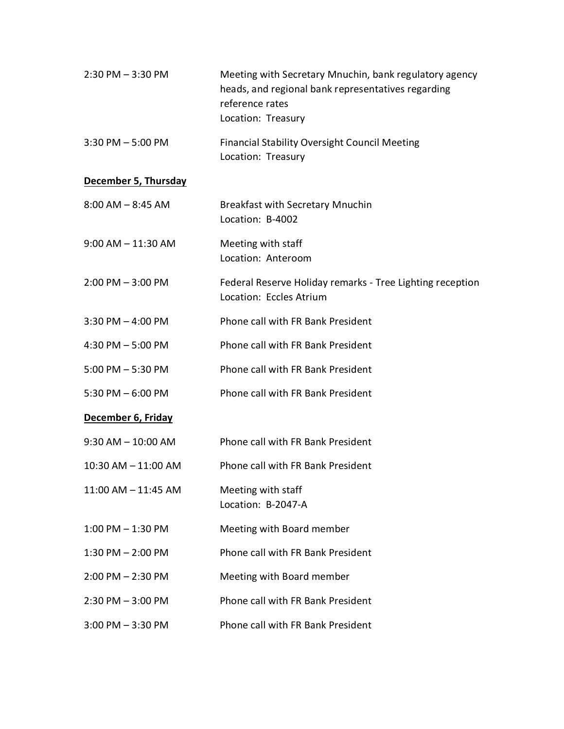| $2:30$ PM $-3:30$ PM   | Meeting with Secretary Mnuchin, bank regulatory agency<br>heads, and regional bank representatives regarding<br>reference rates<br>Location: Treasury |
|------------------------|-------------------------------------------------------------------------------------------------------------------------------------------------------|
| $3:30$ PM $-5:00$ PM   | <b>Financial Stability Oversight Council Meeting</b><br>Location: Treasury                                                                            |
| December 5, Thursday   |                                                                                                                                                       |
| $8:00$ AM $-8:45$ AM   | <b>Breakfast with Secretary Mnuchin</b><br>Location: B-4002                                                                                           |
| $9:00$ AM $-11:30$ AM  | Meeting with staff<br>Location: Anteroom                                                                                                              |
| $2:00$ PM $-3:00$ PM   | Federal Reserve Holiday remarks - Tree Lighting reception<br>Location: Eccles Atrium                                                                  |
| $3:30$ PM $-$ 4:00 PM  | Phone call with FR Bank President                                                                                                                     |
| 4:30 PM - 5:00 PM      | Phone call with FR Bank President                                                                                                                     |
| $5:00$ PM $-5:30$ PM   | Phone call with FR Bank President                                                                                                                     |
| 5:30 PM $-6:00$ PM     | Phone call with FR Bank President                                                                                                                     |
| December 6, Friday     |                                                                                                                                                       |
| $9:30$ AM $- 10:00$ AM | Phone call with FR Bank President                                                                                                                     |
| 10:30 AM - 11:00 AM    | Phone call with FR Bank President                                                                                                                     |
| 11:00 AM - 11:45 AM    | Meeting with staff<br>Location: B-2047-A                                                                                                              |
| $1:00$ PM $-1:30$ PM   | Meeting with Board member                                                                                                                             |
| $1:30$ PM $- 2:00$ PM  | Phone call with FR Bank President                                                                                                                     |
| $2:00$ PM $- 2:30$ PM  | Meeting with Board member                                                                                                                             |
| $2:30$ PM $-3:00$ PM   | Phone call with FR Bank President                                                                                                                     |
| $3:00$ PM $-3:30$ PM   | Phone call with FR Bank President                                                                                                                     |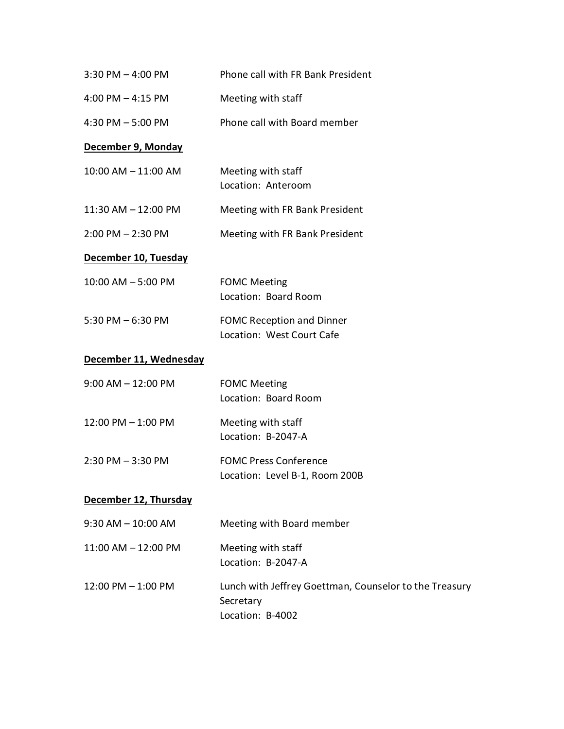| $3:30$ PM $-$ 4:00 PM  | Phone call with FR Bank President                                                       |
|------------------------|-----------------------------------------------------------------------------------------|
| 4:00 PM $-$ 4:15 PM    | Meeting with staff                                                                      |
| 4:30 PM $-5:00$ PM     | Phone call with Board member                                                            |
| December 9, Monday     |                                                                                         |
| 10:00 AM - 11:00 AM    | Meeting with staff<br>Location: Anteroom                                                |
| 11:30 AM - 12:00 PM    | Meeting with FR Bank President                                                          |
| $2:00$ PM $- 2:30$ PM  | Meeting with FR Bank President                                                          |
| December 10, Tuesday   |                                                                                         |
| $10:00$ AM $-5:00$ PM  | <b>FOMC Meeting</b><br>Location: Board Room                                             |
| $5:30$ PM $-6:30$ PM   | <b>FOMC Reception and Dinner</b><br>Location: West Court Cafe                           |
| December 11, Wednesday |                                                                                         |
| $9:00$ AM $- 12:00$ PM | <b>FOMC Meeting</b><br>Location: Board Room                                             |
| 12:00 PM - 1:00 PM     | Meeting with staff<br>Location: B-2047-A                                                |
| $2:30$ PM $-3:30$ PM   | <b>FOMC Press Conference</b><br>Location: Level B-1, Room 200B                          |
| December 12, Thursday  |                                                                                         |
| $9:30$ AM $- 10:00$ AM | Meeting with Board member                                                               |
| 11:00 AM - 12:00 PM    | Meeting with staff<br>Location: B-2047-A                                                |
| 12:00 PM - 1:00 PM     | Lunch with Jeffrey Goettman, Counselor to the Treasury<br>Secretary<br>Location: B-4002 |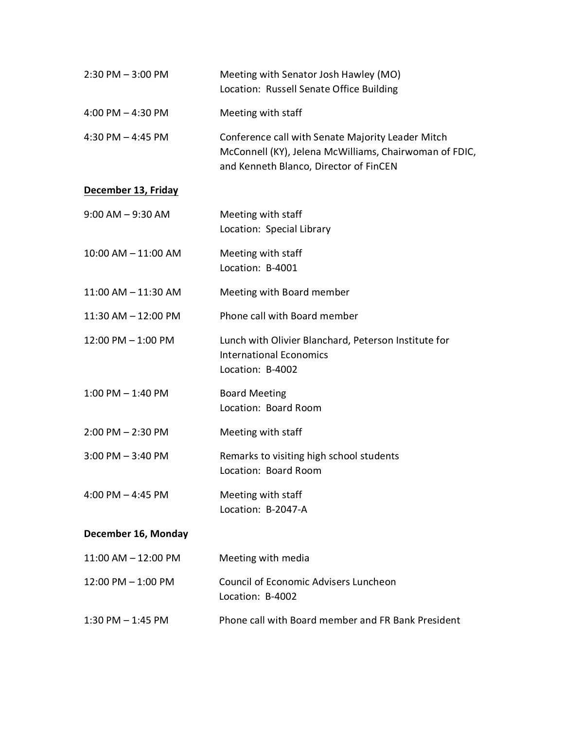| $2:30$ PM $-3:00$ PM    | Meeting with Senator Josh Hawley (MO)<br>Location: Russell Senate Office Building                                                                     |
|-------------------------|-------------------------------------------------------------------------------------------------------------------------------------------------------|
| 4:00 PM $-$ 4:30 PM     | Meeting with staff                                                                                                                                    |
| 4:30 PM $-$ 4:45 PM     | Conference call with Senate Majority Leader Mitch<br>McConnell (KY), Jelena McWilliams, Chairwoman of FDIC,<br>and Kenneth Blanco, Director of FinCEN |
| December 13, Friday     |                                                                                                                                                       |
| $9:00$ AM $-9:30$ AM    | Meeting with staff<br>Location: Special Library                                                                                                       |
| 10:00 AM - 11:00 AM     | Meeting with staff<br>Location: B-4001                                                                                                                |
| 11:00 AM - 11:30 AM     | Meeting with Board member                                                                                                                             |
| 11:30 AM - 12:00 PM     | Phone call with Board member                                                                                                                          |
| 12:00 PM - 1:00 PM      | Lunch with Olivier Blanchard, Peterson Institute for<br><b>International Economics</b><br>Location: B-4002                                            |
| $1:00$ PM $-1:40$ PM    | <b>Board Meeting</b><br>Location: Board Room                                                                                                          |
| $2:00$ PM $- 2:30$ PM   | Meeting with staff                                                                                                                                    |
| $3:00$ PM $-3:40$ PM    | Remarks to visiting high school students<br>Location: Board Room                                                                                      |
| 4:00 PM $-$ 4:45 PM     | Meeting with staff<br>Location: B-2047-A                                                                                                              |
| December 16, Monday     |                                                                                                                                                       |
| $11:00$ AM $- 12:00$ PM | Meeting with media                                                                                                                                    |
| 12:00 PM - 1:00 PM      | <b>Council of Economic Advisers Luncheon</b><br>Location: B-4002                                                                                      |
| $1:30$ PM $-1:45$ PM    | Phone call with Board member and FR Bank President                                                                                                    |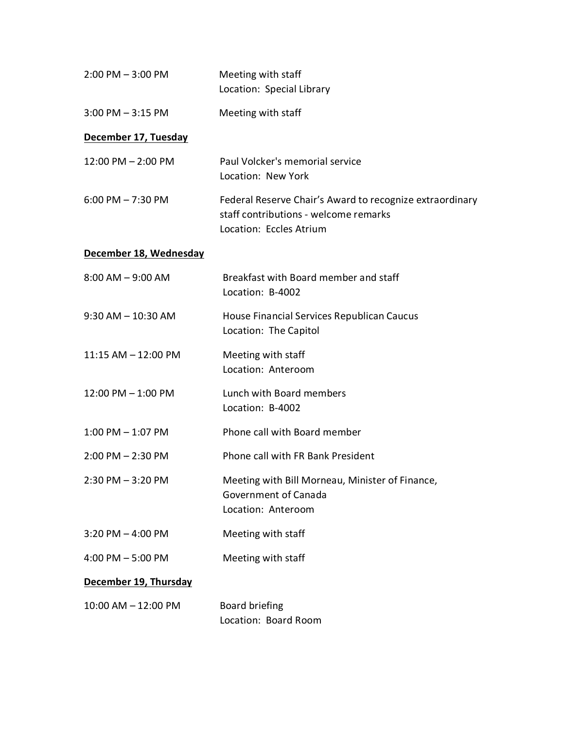| $2:00$ PM $-3:00$ PM    | Meeting with staff<br>Location: Special Library                                                                              |
|-------------------------|------------------------------------------------------------------------------------------------------------------------------|
| $3:00$ PM $-3:15$ PM    | Meeting with staff                                                                                                           |
| December 17, Tuesday    |                                                                                                                              |
| 12:00 PM - 2:00 PM      | Paul Volcker's memorial service<br>Location: New York                                                                        |
| $6:00$ PM $- 7:30$ PM   | Federal Reserve Chair's Award to recognize extraordinary<br>staff contributions - welcome remarks<br>Location: Eccles Atrium |
| December 18, Wednesday  |                                                                                                                              |
| $8:00$ AM $-9:00$ AM    | Breakfast with Board member and staff<br>Location: B-4002                                                                    |
| $9:30$ AM $- 10:30$ AM  | House Financial Services Republican Caucus<br>Location: The Capitol                                                          |
| 11:15 AM - 12:00 PM     | Meeting with staff<br>Location: Anteroom                                                                                     |
| $12:00$ PM $-1:00$ PM   | Lunch with Board members<br>Location: B-4002                                                                                 |
| $1:00$ PM $-1:07$ PM    | Phone call with Board member                                                                                                 |
| $2:00$ PM $- 2:30$ PM   | Phone call with FR Bank President                                                                                            |
| 2:30 PM - 3:20 PM       | Meeting with Bill Morneau, Minister of Finance,<br>Government of Canada<br>Location: Anteroom                                |
| $3:20$ PM $-$ 4:00 PM   | Meeting with staff                                                                                                           |
| $4:00$ PM $-5:00$ PM    | Meeting with staff                                                                                                           |
| December 19, Thursday   |                                                                                                                              |
| $10:00$ AM $- 12:00$ PM | Board briefing<br>Location: Board Room                                                                                       |